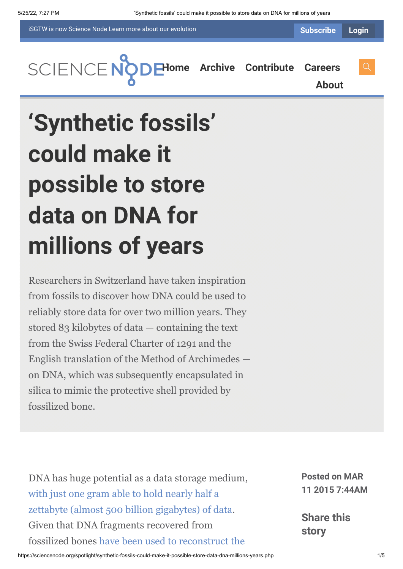iSGTW is now Science Node [Learn more about](https://sciencenode.org/about/index.php#history) our evolution

**[About](https://sciencenode.org/about/index.php)**

**[H](https://sciencenode.org/index.php)[ome](https://sciencenode.org/) [Archive](https://sciencenode.org/archive/index.php) [Contribute](https://sciencenode.org/contribute/index.php) [Careers](https://sciencenode.org/careers/index.php)**

## **'Synthetic fossils' could make it possible to store data on DNA for millions of years**

Researchers in Switzerland have taken inspiration from fossils to discover how DNA could be used to reliably store data for over two million years. They stored 83 kilobytes of data — containing the text from the Swiss Federal Charter of 1291 and the English translation of the Method of Archimedes on DNA, which was subsequently encapsulated in silica to mimic the protective shell provided by fossilized bone.

DNA has huge potential as a data storage medium, with just one gram able to hold nearly half a [zettabyte \(almost 500 billion gigabytes\) of data](http://www.sciencemag.org/content/337/6102/1628). Given that DNA fragments recovered from [fossilized bones have been used to reconstruct the](http://www.nature.com/nature/journal/v499/n7456/full/nature12323.html)

**Posted on MAR 11 2015 7:44AM**

**Share this story**

https://sciencenode.org/spotlight/synthetic-fossils-could-make-it-possible-store-data-dna-millions-years.php 1/5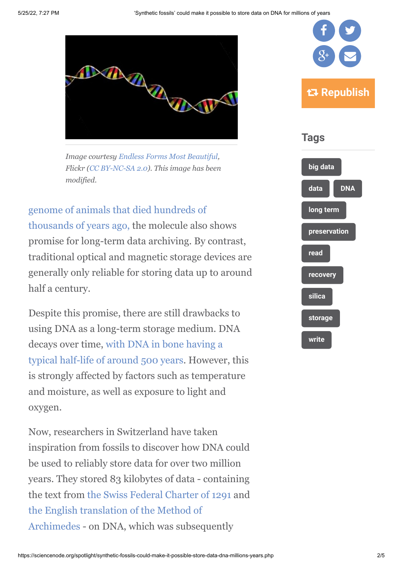

*Image courtesy [Endless Forms Most Beautiful,](https://www.flickr.com/photos/13964815@N00/3309632934/in/photolist-63sJyN-7CJgqt-ae1zYZ-7TqgUV-ERLaB-6gzhs2-ERLGj-jknsWu-a87gs-79DkZG-97G6Mc-bTwqvF-97azAW-5xxC-fHEXRn-NWEdS-51S6Lr-nX2Ru-ERLFN-87KbVQ-6DCAiL-7JQMKU-9pnaFW-oY8Hc5-jQsj2b-hpj6y6-8q3KV9-oXU53k-oFFqMK-oFFc4U-oFEFfr-NWEdE-o3PxW-dfcH-6oKi6i-dAnjzr-6wSkMU-bTHnyk-7iNfPx-7Wybvd-7WuXxi-dZjCMp-5E9pnB-pVDnqP-dHbW9z-afNot6-9eibh5-dzhbiM-a6AMM-6qxjt4) Flickr (CC BY-NC-SA 2.0). This image has been modified.*

genome of animals that died hundreds of [thousands of years ago, the molecule also shows](http://www.nature.com/nature/journal/v499/n7456/full/nature12323.html) promise for long-term data archiving. By contrast, traditional optical and magnetic storage devices are generally only reliable for storing data up to around half a century.

Despite this promise, there are still drawbacks to using DNA as a long-term storage medium. DNA [decays over time, with DNA in bone having a](http://rspb.royalsocietypublishing.org/content/279/1748/4724) typical half-life of around 500 years. However, this is strongly affected by factors such as temperature and moisture, as well as exposure to light and oxygen.

Now, researchers in Switzerland have taken inspiration from fossils to discover how DNA could be used to reliably store data for over two million years. They stored 83 kilobytes of data - containing the text from [the Swiss Federal Charter of 1291](http://en.wikipedia.org/wiki/Federal_Charter_of_1291) and the English translation of the Method of [Archimedes - on DNA, which was subseq](http://en.wikipedia.org/wiki/The_Method_of_Mechanical_Theorems)uently



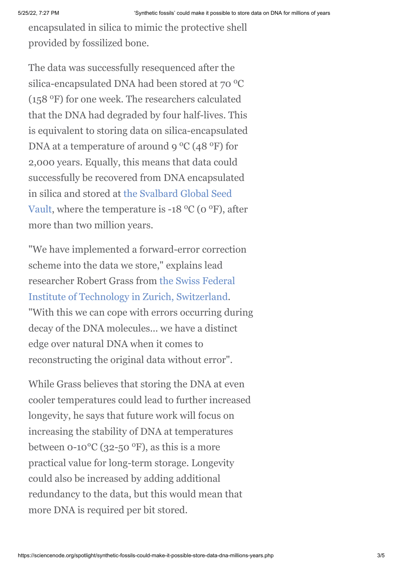encapsulated in silica to mimic the protective shell provided by fossilized bone.

The data was successfully resequenced after the silica-encapsulated DNA had been stored at  $70^{\circ}$ C (158 °F) for one week. The researchers calculated that the DNA had degraded by four half-lives. This is equivalent to storing data on silica-encapsulated DNA at a temperature of around 9  $\rm ^{o}C$  (48  $\rm ^{o}F)$  for 2,000 years. Equally, this means that data could successfully be recovered from DNA encapsulated in silica and stored at the Svalbard Global Seed Vault, where the temperature is  $-18\,^{\circ}\mathrm{C}$  (0  $^{\circ}\mathrm{F}$ ), after more than two million years.

"We have implemented a forward-error correction scheme into the data we store," explains lead [researcher Robert Grass from the Swiss Federal](https://www.ethz.ch/en.html) Institute of Technology in Zurich, Switzerland. "With this we can cope with errors occurring during decay of the DNA molecules... we have a distinct edge over natural DNA when it comes to reconstructing the original data without error".

While Grass believes that storing the DNA at even cooler temperatures could lead to further increased longevity, he says that future work will focus on increasing the stability of DNA at temperatures between  $0-10\textdegree C$  (32-50  $\textdegree F$ ), as this is a more practical value for long-term storage. Longevity could also be increased by adding additional redundancy to the data, but this would mean that more DNA is required per bit stored.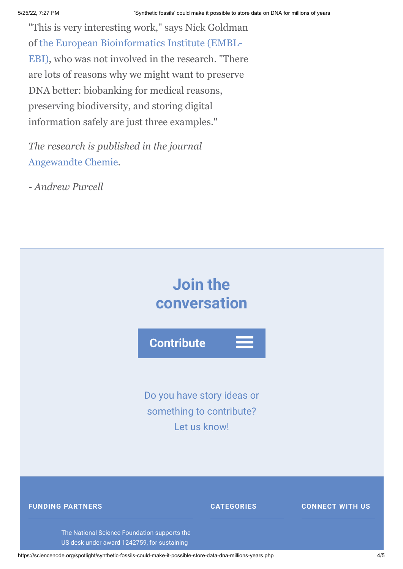"This is very interesting work," says Nick Goldman [of the European Bioinformatics Institute \(EMBL-](http://www.ebi.ac.uk/)EBI), who was not involved in the research. "There are lots of reasons why we might want to preserve DNA better: biobanking for medical reasons, preserving biodiversity, and storing digital information safely are just three examples."

*The research is published in the journal* [Angewandte Chemie](http://onlinelibrary.wiley.com/doi/10.1002/anie.201411378/full)*.*

*- Andrew Purcell*